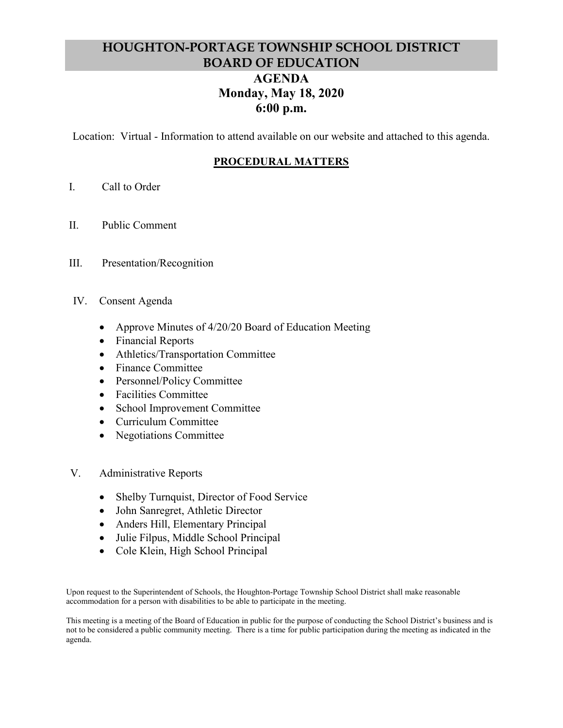# **HOUGHTON-PORTAGE TOWNSHIP SCHOOL DISTRICT BOARD OF EDUCATION AGENDA Monday, May 18, 2020 6:00 p.m.**

Location: Virtual - Information to attend available on our website and attached to this agenda.

# **PROCEDURAL MATTERS**

- I. Call to Order
- II. Public Comment
- III. Presentation/Recognition
- IV. Consent Agenda
	- Approve Minutes of 4/20/20 Board of Education Meeting
	- Financial Reports
	- Athletics/Transportation Committee
	- Finance Committee
	- Personnel/Policy Committee
	- Facilities Committee
	- School Improvement Committee
	- Curriculum Committee
	- Negotiations Committee
- V. Administrative Reports
	- Shelby Turnquist, Director of Food Service
	- John Sanregret, Athletic Director
	- Anders Hill, Elementary Principal
	- Julie Filpus, Middle School Principal
	- Cole Klein, High School Principal

Upon request to the Superintendent of Schools, the Houghton-Portage Township School District shall make reasonable accommodation for a person with disabilities to be able to participate in the meeting.

This meeting is a meeting of the Board of Education in public for the purpose of conducting the School District's business and is not to be considered a public community meeting. There is a time for public participation during the meeting as indicated in the agenda.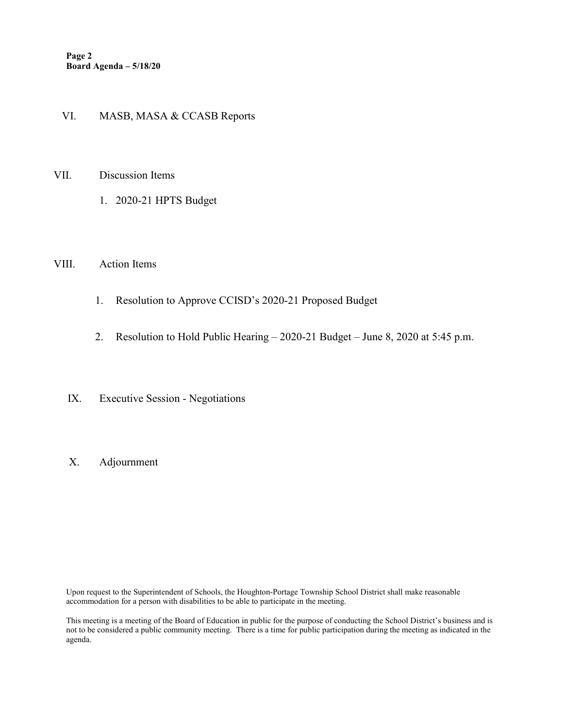## VI. MASB, MASA & CCASB Reports

- VII. Discussion Items
	- 1. 2020-21 HPTS Budget

#### VIII. Action Items

- 1. Resolution to Approve CCISD's 2020-21 Proposed Budget
- 2. Resolution to Hold Public Hearing 2020-21 Budget June 8, 2020 at 5:45 p.m.
- IX. Executive Session Negotiations
- X. Adjournment

Upon request to the Superintendent of Schools, the Houghton-Portage Township School District shall make reasonable accommodation for a person with disabilities to be able to participate in the meeting.

This meeting is a meeting of the Board of Education in public for the purpose of conducting the School District's business and is not to be considered a public community meeting. There is a time for public participation during the meeting as indicated in the agenda.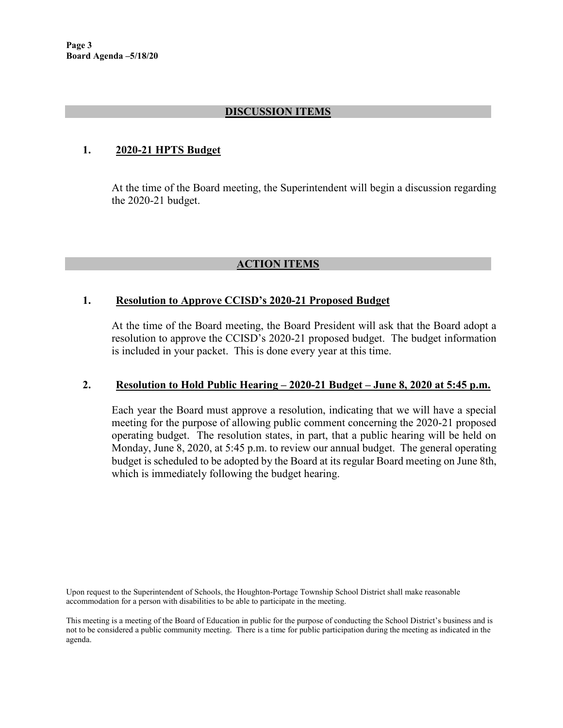# **DISCUSSION ITEMS**

## **1. 2020-21 HPTS Budget**

At the time of the Board meeting, the Superintendent will begin a discussion regarding the 2020-21 budget.

# **ACTION ITEMS**

## **1. Resolution to Approve CCISD's 2020-21 Proposed Budget**

At the time of the Board meeting, the Board President will ask that the Board adopt a resolution to approve the CCISD's 2020-21 proposed budget. The budget information is included in your packet. This is done every year at this time.

## **2. Resolution to Hold Public Hearing – 2020-21 Budget – June 8, 2020 at 5:45 p.m.**

Each year the Board must approve a resolution, indicating that we will have a special meeting for the purpose of allowing public comment concerning the 2020-21 proposed operating budget. The resolution states, in part, that a public hearing will be held on Monday, June 8, 2020, at 5:45 p.m. to review our annual budget. The general operating budget is scheduled to be adopted by the Board at its regular Board meeting on June 8th, which is immediately following the budget hearing.

Upon request to the Superintendent of Schools, the Houghton-Portage Township School District shall make reasonable accommodation for a person with disabilities to be able to participate in the meeting.

This meeting is a meeting of the Board of Education in public for the purpose of conducting the School District's business and is not to be considered a public community meeting. There is a time for public participation during the meeting as indicated in the agenda.